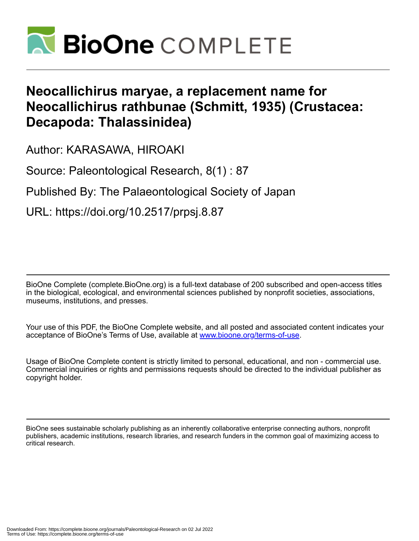

# **Neocallichirus maryae, a replacement name for Neocallichirus rathbunae (Schmitt, 1935) (Crustacea: Decapoda: Thalassinidea)**

Author: KARASAWA, HIROAKI

Source: Paleontological Research, 8(1) : 87

Published By: The Palaeontological Society of Japan

URL: https://doi.org/10.2517/prpsj.8.87

BioOne Complete (complete.BioOne.org) is a full-text database of 200 subscribed and open-access titles in the biological, ecological, and environmental sciences published by nonprofit societies, associations, museums, institutions, and presses.

Your use of this PDF, the BioOne Complete website, and all posted and associated content indicates your acceptance of BioOne's Terms of Use, available at www.bioone.org/terms-of-use.

Usage of BioOne Complete content is strictly limited to personal, educational, and non - commercial use. Commercial inquiries or rights and permissions requests should be directed to the individual publisher as copyright holder.

BioOne sees sustainable scholarly publishing as an inherently collaborative enterprise connecting authors, nonprofit publishers, academic institutions, research libraries, and research funders in the common goal of maximizing access to critical research.